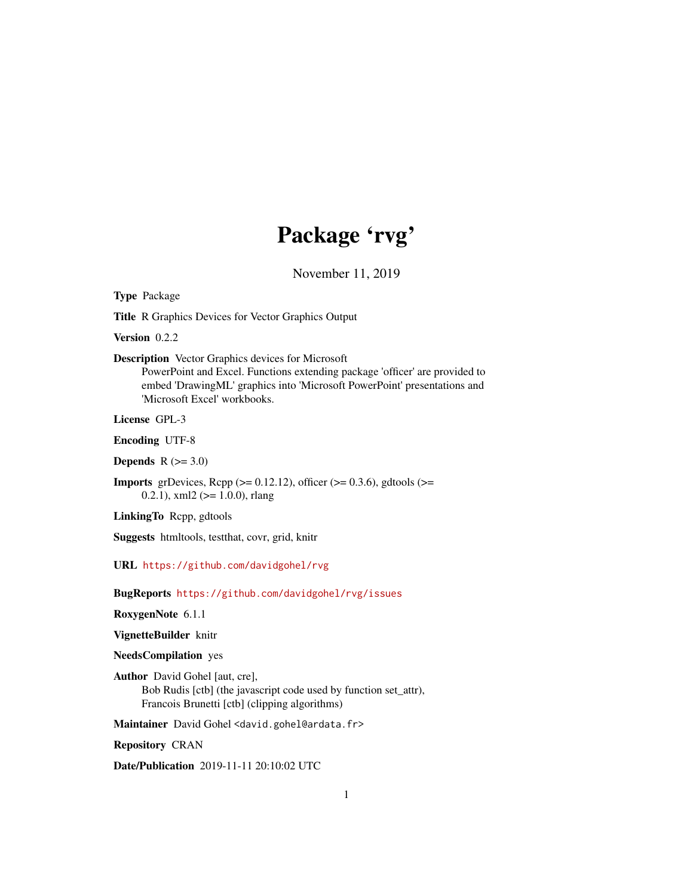## Package 'rvg'

November 11, 2019

<span id="page-0-0"></span>Type Package

Title R Graphics Devices for Vector Graphics Output

Version 0.2.2

Description Vector Graphics devices for Microsoft

PowerPoint and Excel. Functions extending package 'officer' are provided to embed 'DrawingML' graphics into 'Microsoft PowerPoint' presentations and 'Microsoft Excel' workbooks.

License GPL-3

Encoding UTF-8

Depends  $R$  ( $>= 3.0$ )

**Imports** grDevices, Rcpp ( $>= 0.12.12$ ), officer ( $>= 0.3.6$ ), gdtools ( $>=$ 0.2.1), xml2 ( $> = 1.0.0$ ), rlang

LinkingTo Rcpp, gdtools

Suggests htmltools, testthat, covr, grid, knitr

URL <https://github.com/davidgohel/rvg>

BugReports <https://github.com/davidgohel/rvg/issues>

RoxygenNote 6.1.1

VignetteBuilder knitr

NeedsCompilation yes

Author David Gohel [aut, cre], Bob Rudis [ctb] (the javascript code used by function set\_attr), Francois Brunetti [ctb] (clipping algorithms)

Maintainer David Gohel <david.gohel@ardata.fr>

Repository CRAN

Date/Publication 2019-11-11 20:10:02 UTC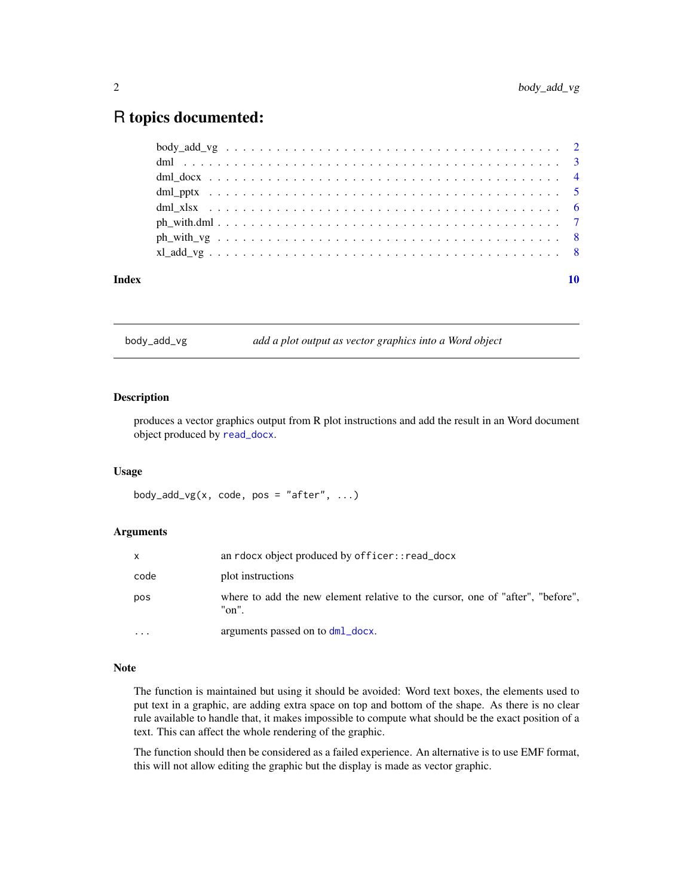## <span id="page-1-0"></span>R topics documented:

| Index |  |  |  |  |  |  |  |  |  |  |  |  |  |  |  |  |  | 10 |
|-------|--|--|--|--|--|--|--|--|--|--|--|--|--|--|--|--|--|----|
|       |  |  |  |  |  |  |  |  |  |  |  |  |  |  |  |  |  |    |
|       |  |  |  |  |  |  |  |  |  |  |  |  |  |  |  |  |  |    |
|       |  |  |  |  |  |  |  |  |  |  |  |  |  |  |  |  |  |    |
|       |  |  |  |  |  |  |  |  |  |  |  |  |  |  |  |  |  |    |
|       |  |  |  |  |  |  |  |  |  |  |  |  |  |  |  |  |  |    |
|       |  |  |  |  |  |  |  |  |  |  |  |  |  |  |  |  |  |    |
|       |  |  |  |  |  |  |  |  |  |  |  |  |  |  |  |  |  |    |
|       |  |  |  |  |  |  |  |  |  |  |  |  |  |  |  |  |  |    |

body\_add\_vg *add a plot output as vector graphics into a Word object*

#### Description

produces a vector graphics output from R plot instructions and add the result in an Word document object produced by [read\\_docx](#page-0-0).

#### Usage

body\_add\_vg(x, code, pos = "after",  $\dots$ )

#### Arguments

| X                       | an rdocx object produced by officer:: read_docx                                         |
|-------------------------|-----------------------------------------------------------------------------------------|
| code                    | plot instructions                                                                       |
| pos                     | where to add the new element relative to the cursor, one of "after", "before",<br>"on". |
| $\cdot$ $\cdot$ $\cdot$ | arguments passed on to dml_docx.                                                        |

#### Note

The function is maintained but using it should be avoided: Word text boxes, the elements used to put text in a graphic, are adding extra space on top and bottom of the shape. As there is no clear rule available to handle that, it makes impossible to compute what should be the exact position of a text. This can affect the whole rendering of the graphic.

The function should then be considered as a failed experience. An alternative is to use EMF format, this will not allow editing the graphic but the display is made as vector graphic.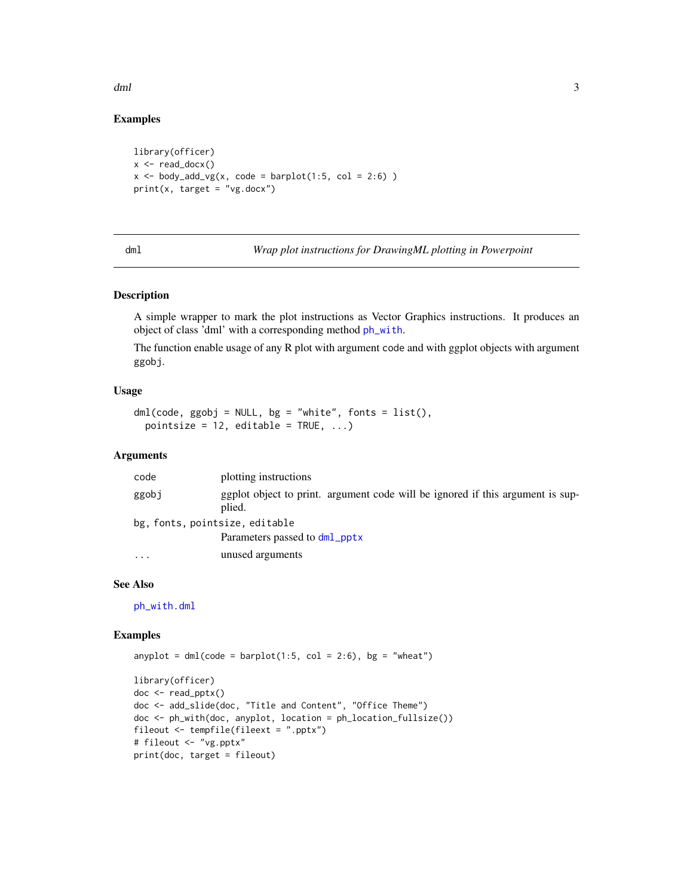<span id="page-2-0"></span>dml 3

#### Examples

```
library(officer)
x \le - read_docx()
x \le -\text{body\_add\_vg}(x, \text{code = barplot}(1:5, \text{col = 2:6}) )print(x, target = "vg.docx")
```
<span id="page-2-1"></span>

dml *Wrap plot instructions for DrawingML plotting in Powerpoint*

#### Description

A simple wrapper to mark the plot instructions as Vector Graphics instructions. It produces an object of class 'dml' with a corresponding method [ph\\_with](#page-0-0).

The function enable usage of any R plot with argument code and with ggplot objects with argument ggobj.

#### Usage

```
dml(code, ggobj = NULL, bg = "white", fonts = list(),pointsize = 12, editable = TRUE, ...)
```
#### Arguments

| code                           | plotting instructions                                                                    |
|--------------------------------|------------------------------------------------------------------------------------------|
| ggobj                          | ggplot object to print. argument code will be ignored if this argument is sup-<br>plied. |
| bg, fonts, pointsize, editable |                                                                                          |
|                                | Parameters passed to dml_pptx                                                            |
| $\ddotsc$                      | unused arguments                                                                         |

#### See Also

[ph\\_with.dml](#page-6-1)

#### Examples

```
anyplot = dml(code = barplot(1:5, col = 2:6), bg = "wheat")
```

```
library(officer)
doc <- read_pptx()
doc <- add_slide(doc, "Title and Content", "Office Theme")
doc <- ph_with(doc, anyplot, location = ph_location_fullsize())
fileout <- tempfile(fileext = ".pptx")
# fileout <- "vg.pptx"
print(doc, target = fileout)
```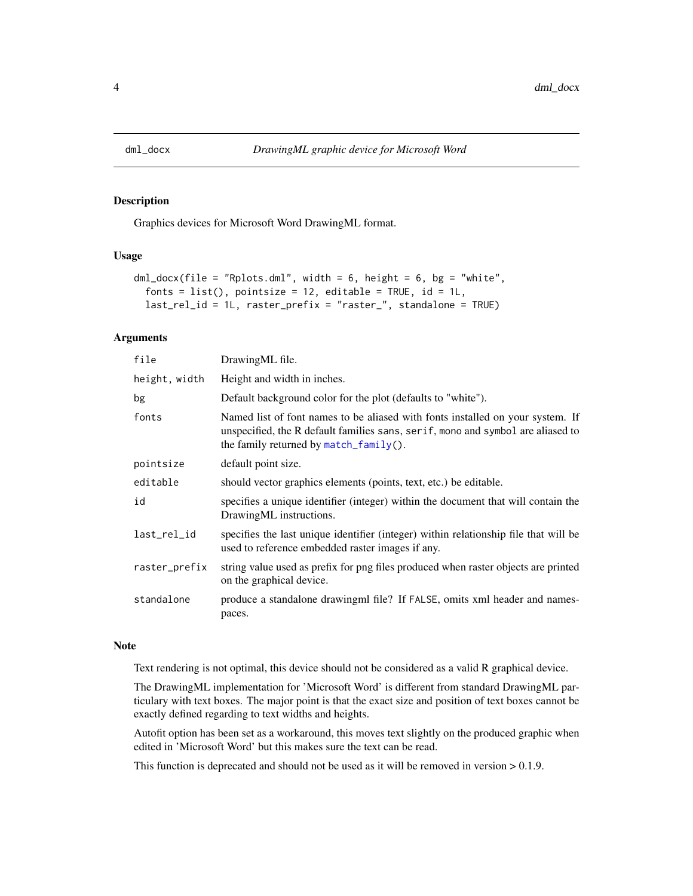<span id="page-3-1"></span><span id="page-3-0"></span>

#### Description

Graphics devices for Microsoft Word DrawingML format.

#### Usage

```
dml_docx(file = "Rplots.dml", width = 6, height = 6, bg = "white",
  fonts = list(), pointsize = 12, editable = TRUE, id = 1L,
 last_rel_id = 1L, raster_prefix = "raster_", standalone = TRUE)
```
#### Arguments

| file          | Drawing ML file.                                                                                                                                                                                            |
|---------------|-------------------------------------------------------------------------------------------------------------------------------------------------------------------------------------------------------------|
| height, width | Height and width in inches.                                                                                                                                                                                 |
| bg            | Default background color for the plot (defaults to "white").                                                                                                                                                |
| fonts         | Named list of font names to be aliased with fonts installed on your system. If<br>unspecified, the R default families sans, serif, mono and symbol are aliased to<br>the family returned by match_family(). |
| pointsize     | default point size.                                                                                                                                                                                         |
| editable      | should vector graphics elements (points, text, etc.) be editable.                                                                                                                                           |
| id            | specifies a unique identifier (integer) within the document that will contain the<br>DrawingML instructions.                                                                                                |
| last_rel_id   | specifies the last unique identifier (integer) within relationship file that will be<br>used to reference embedded raster images if any.                                                                    |
| raster_prefix | string value used as prefix for png files produced when raster objects are printed<br>on the graphical device.                                                                                              |
| standalone    | produce a standalone drawingml file? If FALSE, omits xml header and names-<br>paces.                                                                                                                        |

#### Note

Text rendering is not optimal, this device should not be considered as a valid R graphical device.

The DrawingML implementation for 'Microsoft Word' is different from standard DrawingML particulary with text boxes. The major point is that the exact size and position of text boxes cannot be exactly defined regarding to text widths and heights.

Autofit option has been set as a workaround, this moves text slightly on the produced graphic when edited in 'Microsoft Word' but this makes sure the text can be read.

This function is deprecated and should not be used as it will be removed in version > 0.1.9.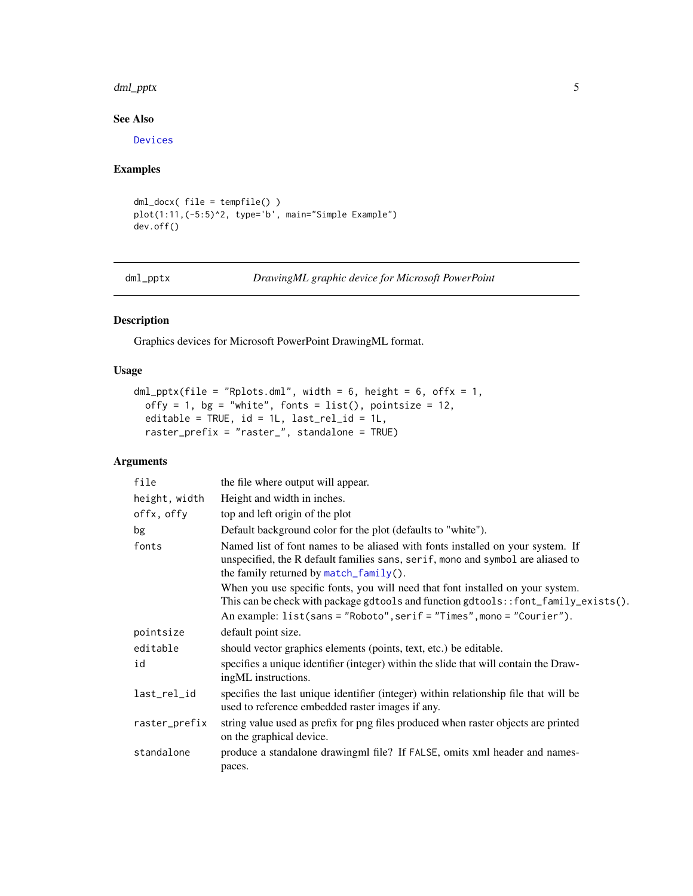#### <span id="page-4-0"></span>dml\_pptx 5

#### See Also

[Devices](#page-0-0)

#### Examples

```
dml_docx( file = tempfile() )
plot(1:11,(-5:5)^2, type='b', main="Simple Example")
dev.off()
```
<span id="page-4-1"></span>dml\_pptx *DrawingML graphic device for Microsoft PowerPoint*

#### Description

Graphics devices for Microsoft PowerPoint DrawingML format.

#### Usage

```
dml_pptx(file = "Rplots.dml", width = 6, height = 6, offx = 1,
 offy = 1, bg = "white", fonts = list(), pointsize = 12,
 editable = TRUE, id = 1L, last_rel_id = 1L,
 raster_prefix = "raster_", standalone = TRUE)
```
#### Arguments

| file          | the file where output will appear.                                                                                                                                                                                                                                                                                                                                                                                                                           |
|---------------|--------------------------------------------------------------------------------------------------------------------------------------------------------------------------------------------------------------------------------------------------------------------------------------------------------------------------------------------------------------------------------------------------------------------------------------------------------------|
| height, width | Height and width in inches.                                                                                                                                                                                                                                                                                                                                                                                                                                  |
| offx, offy    | top and left origin of the plot                                                                                                                                                                                                                                                                                                                                                                                                                              |
| bg            | Default background color for the plot (defaults to "white").                                                                                                                                                                                                                                                                                                                                                                                                 |
| fonts         | Named list of font names to be aliased with fonts installed on your system. If<br>unspecified, the R default families sans, serif, mono and symbol are aliased to<br>the family returned by match_family().<br>When you use specific fonts, you will need that font installed on your system.<br>This can be check with package gdtools and function gdtools::font_family_exists().<br>An example: list(sans = "Roboto", serif = "Times", mono = "Courier"). |
| pointsize     | default point size.                                                                                                                                                                                                                                                                                                                                                                                                                                          |
| editable      | should vector graphics elements (points, text, etc.) be editable.                                                                                                                                                                                                                                                                                                                                                                                            |
| id            | specifies a unique identifier (integer) within the slide that will contain the Draw-<br>ingML instructions.                                                                                                                                                                                                                                                                                                                                                  |
| last_rel_id   | specifies the last unique identifier (integer) within relationship file that will be<br>used to reference embedded raster images if any.                                                                                                                                                                                                                                                                                                                     |
| raster_prefix | string value used as prefix for png files produced when raster objects are printed<br>on the graphical device.                                                                                                                                                                                                                                                                                                                                               |
| standalone    | produce a standalone drawing m file? If FALSE, omits xml header and names-<br>paces.                                                                                                                                                                                                                                                                                                                                                                         |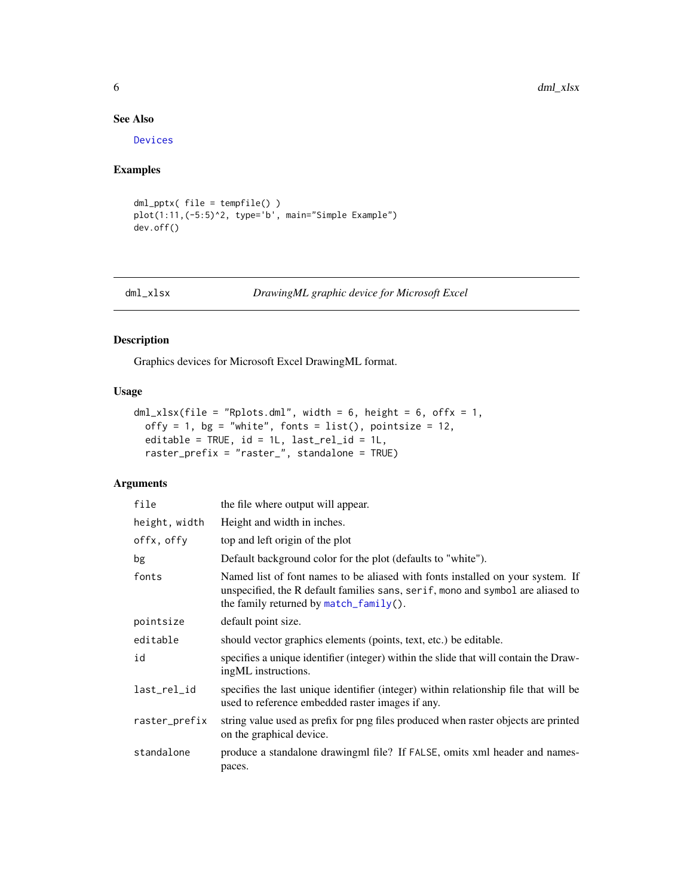#### See Also

[Devices](#page-0-0)

### Examples

```
dml_pptx( file = tempfile() )
plot(1:11,(-5:5)^2, type='b', main="Simple Example")
dev.off()
```
<span id="page-5-1"></span>

#### dml\_xlsx *DrawingML graphic device for Microsoft Excel*

#### Description

Graphics devices for Microsoft Excel DrawingML format.

#### Usage

```
dmL_xlsx(file = "Rplots.dml", width = 6, height = 6, offx = 1,offy = 1, bg = "white", fonts = list(), pointsize = 12,
 editable = TRUE, id = 1L, last_rel_id = 1L,
 raster_prefix = "raster_", standalone = TRUE)
```
#### Arguments

| file          | the file where output will appear.                                                                                                                                                                          |
|---------------|-------------------------------------------------------------------------------------------------------------------------------------------------------------------------------------------------------------|
| height, width | Height and width in inches.                                                                                                                                                                                 |
| offx, offy    | top and left origin of the plot                                                                                                                                                                             |
| bg            | Default background color for the plot (defaults to "white").                                                                                                                                                |
| fonts         | Named list of font names to be aliased with fonts installed on your system. If<br>unspecified, the R default families sans, serif, mono and symbol are aliased to<br>the family returned by match_family(). |
| pointsize     | default point size.                                                                                                                                                                                         |
| editable      | should vector graphics elements (points, text, etc.) be editable.                                                                                                                                           |
| id            | specifies a unique identifier (integer) within the slide that will contain the Draw-<br>ingML instructions.                                                                                                 |
| last_rel_id   | specifies the last unique identifier (integer) within relationship file that will be<br>used to reference embedded raster images if any.                                                                    |
| raster_prefix | string value used as prefix for png files produced when raster objects are printed<br>on the graphical device.                                                                                              |
| standalone    | produce a standalone drawingml file? If FALSE, omits xml header and names-<br>paces.                                                                                                                        |

<span id="page-5-0"></span>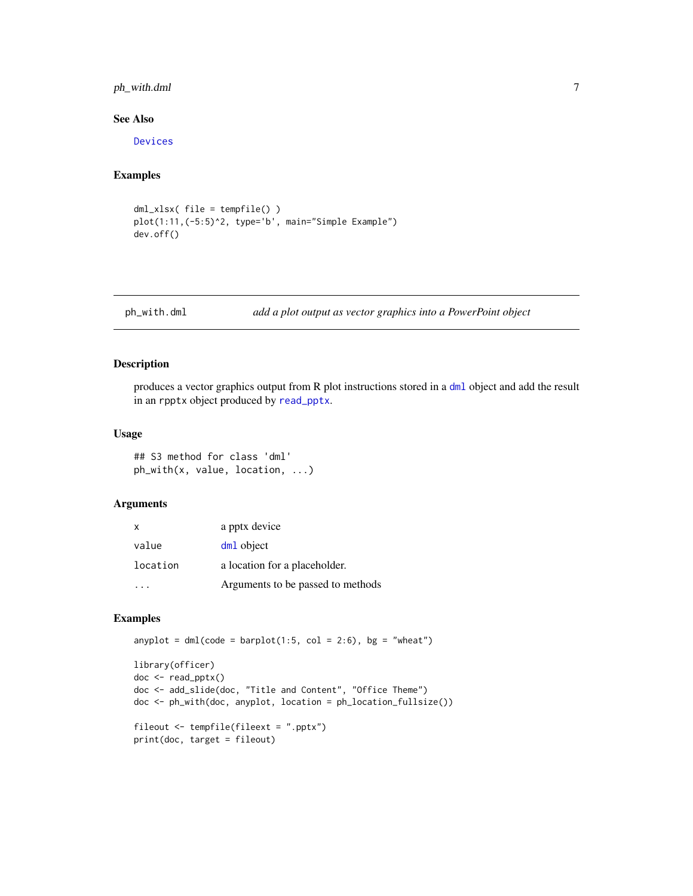#### <span id="page-6-0"></span>ph\_with.dml 7

#### See Also

[Devices](#page-0-0)

#### Examples

```
dml_xlsx( file = tempfile() )
plot(1:11,(-5:5)^2, type='b', main="Simple Example")
dev.off()
```
<span id="page-6-1"></span>ph\_with.dml *add a plot output as vector graphics into a PowerPoint object*

#### Description

produces a vector graphics output from R plot instructions stored in a [dml](#page-2-1) object and add the result in an rpptx object produced by [read\\_pptx](#page-0-0).

#### Usage

## S3 method for class 'dml' ph\_with(x, value, location, ...)

#### Arguments

| X        | a pptx device                     |
|----------|-----------------------------------|
| value    | dm <sub>1</sub> object            |
| location | a location for a placeholder.     |
|          | Arguments to be passed to methods |

#### Examples

anyplot =  $dml(code = barplot(1:5, col = 2:6), bg = "wheat")$ 

```
library(officer)
doc <- read_pptx()
doc <- add_slide(doc, "Title and Content", "Office Theme")
doc <- ph_with(doc, anyplot, location = ph_location_fullsize())
fileout <- tempfile(fileext = ".pptx")
print(doc, target = fileout)
```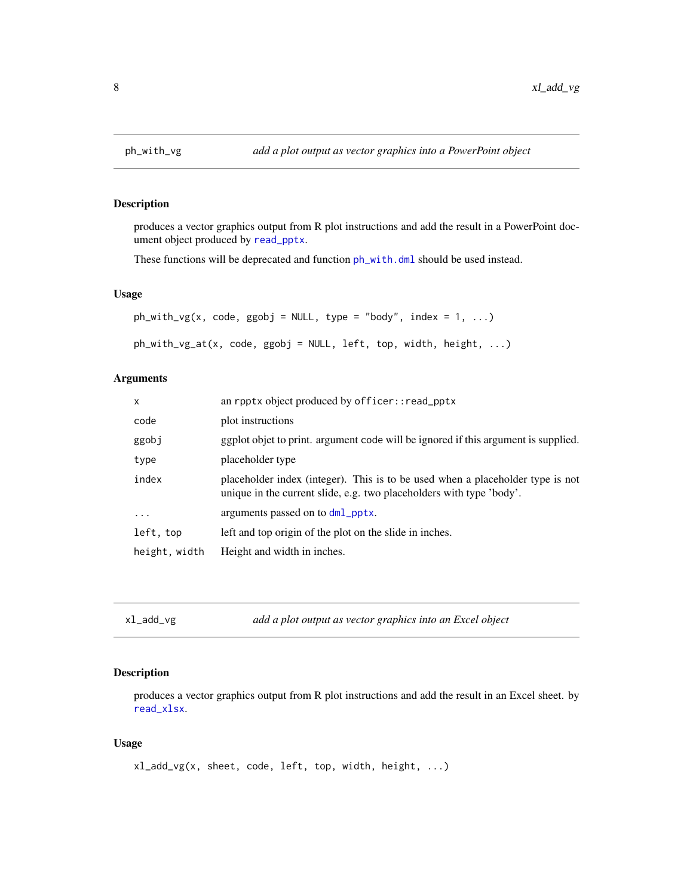#### Description

produces a vector graphics output from R plot instructions and add the result in a PowerPoint document object produced by [read\\_pptx](#page-0-0).

These functions will be deprecated and function  $ph\_with$ .dml should be used instead.

#### Usage

```
ph\_with\_vg(x, code, ggobj = NULL, type = "body", index = 1, ...)ph_with_vg_at(x, code, ggobj = NULL, left, top, width, height, ...)
```
#### Arguments

| $\mathsf{x}$  | an rpptx object produced by officer:: read_pptx                                                                                                        |
|---------------|--------------------------------------------------------------------------------------------------------------------------------------------------------|
| code          | plot instructions                                                                                                                                      |
| ggobj         | ggplot objet to print. argument code will be ignored if this argument is supplied.                                                                     |
| type          | placeholder type                                                                                                                                       |
| index         | placeholder index (integer). This is to be used when a placeholder type is not<br>unique in the current slide, e.g. two placeholders with type 'body'. |
| $\cdots$      | arguments passed on to dml_pptx.                                                                                                                       |
| left, top     | left and top origin of the plot on the slide in inches.                                                                                                |
| height, width | Height and width in inches.                                                                                                                            |

```
xl_add_vg add a plot output as vector graphics into an Excel object
```
#### Description

produces a vector graphics output from R plot instructions and add the result in an Excel sheet. by [read\\_xlsx](#page-0-0).

#### Usage

```
xl_add_vg(x, sheet, code, left, top, width, height, ...)
```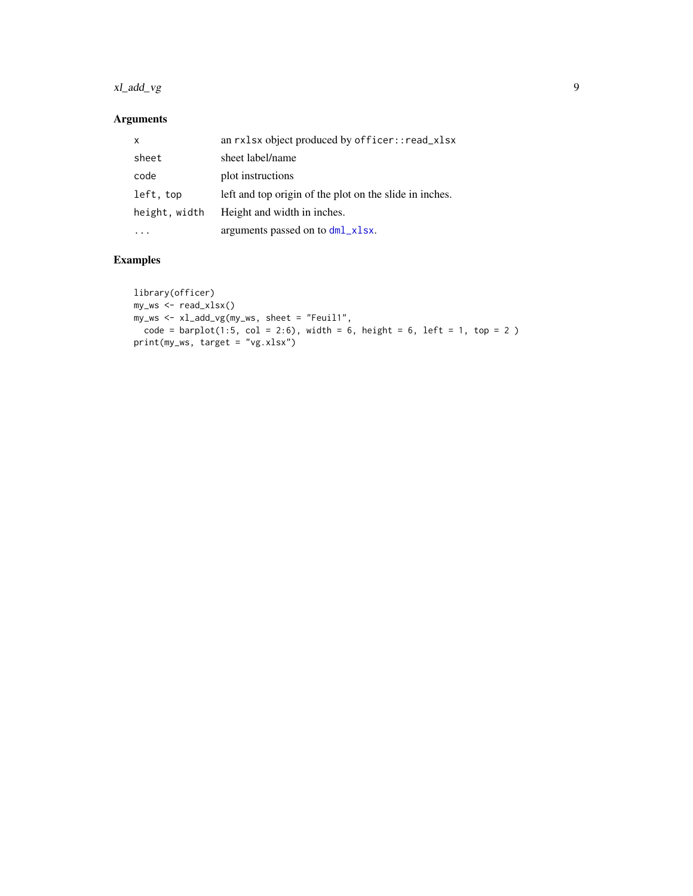### <span id="page-8-0"></span>xl\_add\_vg 9

#### Arguments

| x             | an rxlsx object produced by officer::read_xlsx          |
|---------------|---------------------------------------------------------|
| sheet         | sheet label/name                                        |
| code          | plot instructions                                       |
| left, top     | left and top origin of the plot on the slide in inches. |
| height, width | Height and width in inches.                             |
|               | arguments passed on to dml_xlsx.                        |

### Examples

```
library(officer)
my_ws <- read_xlsx()
my_ws <- xl_add_vg(my_ws, sheet = "Feuil1",
code = barplot(1:5, col = 2:6), width = 6, height = 6, left = 1, top = 2)print(my_ws, target = "vg.xlsx")
```